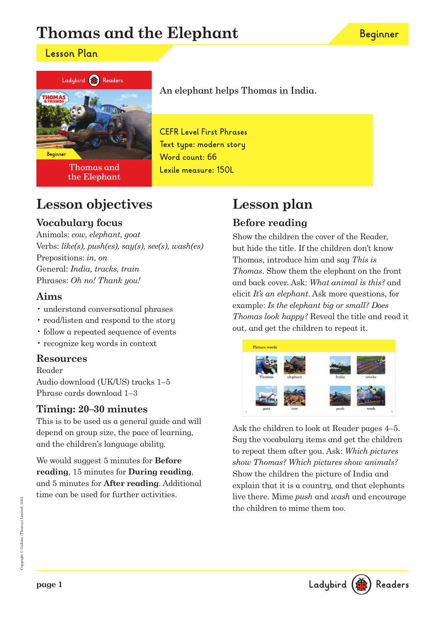# **Thomas and the Elephant**

### **Lesson Plan**



**Thomas and** the Elephant

# An elephant helps Thomas in India.

**CEFR Level First Phrases Text type: modern story Word count: 66 Lexile measure: 150L**

## **Lesson objectives**

### **Vocabulary focus**

Animals: cow, elephant, goat Verbs:  $like(s)$ ,  $push(es)$ ,  $say(s)$ ,  $see(s)$ ,  $wash(es)$ Prepositions: in, on General: India, tracks, train Phrases: Oh no! Thank you!

### **Aims**

- understand conversational phrases
- read/listen and respond to the story
- follow a repeated sequence of events
- recognize key words in context

#### **Resources**

Reader Audio download (UK/US) tracks 1–5 Phrase cards download 1–3

### **Timing: 20–30 minutes**

This is to be used as a general guide and will depend on group size, the pace of learning, and the children's language ability.

We would suggest 5 minutes for **Before reading**, 15 minutes for **During reading**, and 5 minutes for **After reading**. Additional time can be used for further activities.

# **Lesson plan**

### **Before reading**

Show the children the cover of the Reader, but hide the title. If the children don't know Thomas, introduce him and say This is Thomas. Show them the elephant on the front and back cover. Ask: What animal is this? and elicit It's an elephant. Ask more questions, for example: Is the elephant big or small? Does Thomas look happy? Reveal the title and read it out, and get the children to repeat it.



Ask the children to look at Reader pages 4–5. Say the vocabulary items and get the children to repeat them after you. Ask: Which pictures show Thomas? Which pictures show animals? Show the children the picture of India and explain that it is a country, and that elephants live there. Mime push and wash and encourage the children to mime them too.